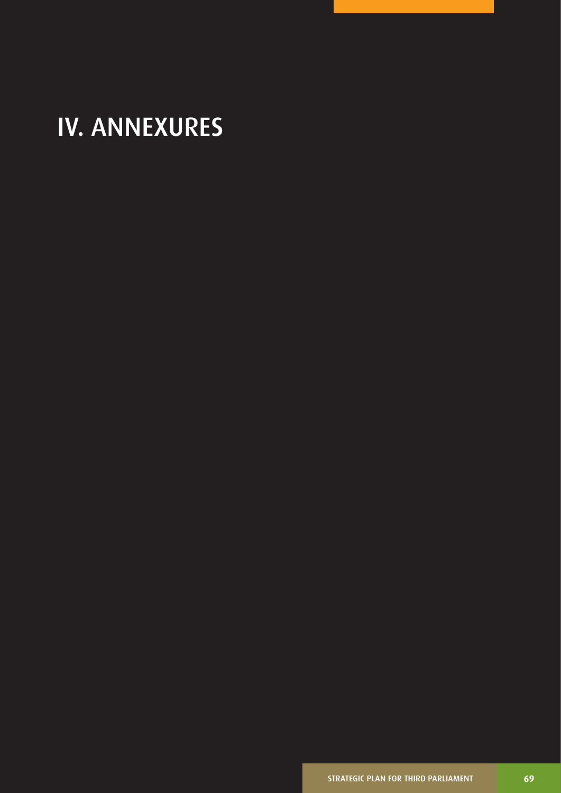# IV. ANNEXURES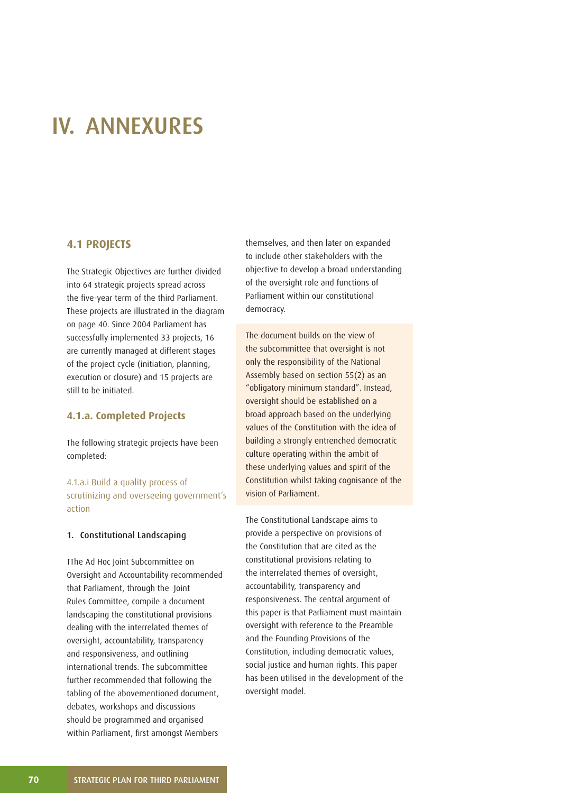## IV. ANNEXURES

## **4.1 PROJECTS**

The Strategic Objectives are further divided into 64 strategic projects spread across the five-year term of the third Parliament. These projects are illustrated in the diagram on page 40. Since 2004 Parliament has successfully implemented 33 projects, 16 are currently managed at different stages of the project cycle (initiation, planning, execution or closure) and 15 projects are still to be initiated.

## **4.1.a. Completed Projects**

The following strategic projects have been completed:

4.1.a.i Build a quality process of scrutinizing and overseeing government's action

#### 1. Constitutional Landscaping

TThe Ad Hoc Joint Subcommittee on Oversight and Accountability recommended that Parliament, through the Joint Rules Committee, compile a document landscaping the constitutional provisions dealing with the interrelated themes of oversight, accountability, transparency and responsiveness, and outlining international trends. The subcommittee further recommended that following the tabling of the abovementioned document, debates, workshops and discussions should be programmed and organised within Parliament, first amongst Members

themselves, and then later on expanded to include other stakeholders with the objective to develop a broad understanding of the oversight role and functions of Parliament within our constitutional democracy.

The document builds on the view of the subcommittee that oversight is not only the responsibility of the National Assembly based on section 55(2) as an "obligatory minimum standard". Instead, oversight should be established on a broad approach based on the underlying values of the Constitution with the idea of building a strongly entrenched democratic culture operating within the ambit of these underlying values and spirit of the Constitution whilst taking cognisance of the vision of Parliament.

The Constitutional Landscape aims to provide a perspective on provisions of the Constitution that are cited as the constitutional provisions relating to the interrelated themes of oversight, accountability, transparency and responsiveness. The central argument of this paper is that Parliament must maintain oversight with reference to the Preamble and the Founding Provisions of the Constitution, including democratic values, social justice and human rights. This paper has been utilised in the development of the oversight model.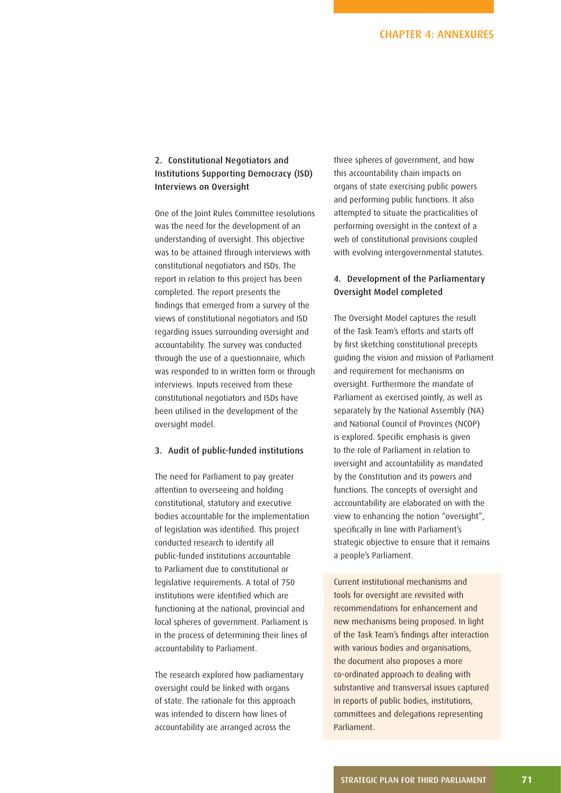## 2. Constitutional Negotiators and Institutions Supporting Democracy (ISD) Interviews on Oversight

One of the Joint Rules Committee resolutions was the need for the development of an understanding of oversight. This objective was to be attained through interviews with constitutional negotiators and ISDs. The report in relation to this project has been completed. The report presents the findings that emerged from a survey of the views of constitutional negotiators and ISD regarding issues surrounding oversight and accountability. The survey was conducted through the use of a questionnaire, which was responded to in written form or through interviews. Inputs received from these constitutional negotiators and ISDs have been utilised in the development of the oversight model.

#### 3. Audit of public-funded institutions

The need for Parliament to pay greater attention to overseeing and holding constitutional, statutory and executive bodies accountable for the implementation of legislation was identified. This project conducted research to identify all public-funded institutions accountable to Parliament due to constitutional or legislative requirements. A total of 750 institutions were identified which are functioning at the national, provincial and local spheres of government. Parliament is in the process of determining their lines of accountability to Parliament.

The research explored how parliamentary oversight could be linked with organs of state. The rationale for this approach was intended to discern how lines of accountability are arranged across the

three spheres of government, and how this accountability chain impacts on organs of state exercising public powers and performing public functions. It also attempted to situate the practicalities of performing oversight in the context of a web of constitutional provisions coupled with evolving intergovernmental statutes.

## 4. Development of the Parliamentary Oversight Model completed

The Oversight Model captures the result of the Task Team's efforts and starts off by first sketching constitutional precepts guiding the vision and mission of Parliament and requirement for mechanisms on oversight. Furthermore the mandate of Parliament as exercised jointly, as well as separately by the National Assembly (NA) and National Council of Provinces (NCOP) is explored. Specific emphasis is given to the role of Parliament in relation to oversight and accountability as mandated by the Constitution and its powers and functions. The concepts of oversight and acccountability are elaborated on with the view to enhancing the notion "oversight", specifically in line with Parliament's strategic objective to ensure that it remains a people's Parliament.

Current institutional mechanisms and tools for oversight are revisited with recommendations for enhancement and new mechanisms being proposed. In light of the Task Team's findings after interaction with various bodies and organisations, the document also proposes a more co-ordinated approach to dealing with substantive and transversal issues captured in reports of public bodies, institutions, committees and delegations representing Parliament.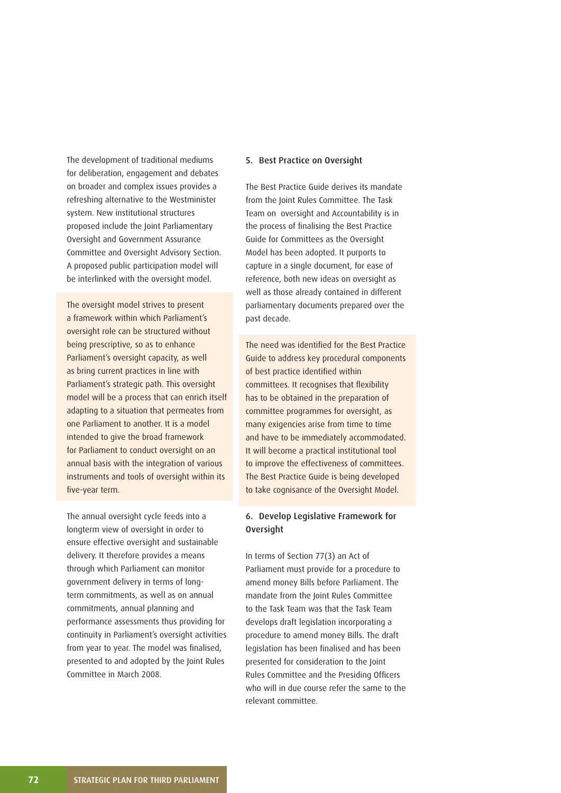The development of traditional mediums for deliberation, engagement and debates on broader and complex issues provides a refreshing alternative to the Westminister system. New institutional structures proposed include the Joint Parliamentary Oversight and Government Assurance Committee and Oversight Advisory Section. A proposed public participation model will be interlinked with the oversight model.

The oversight model strives to present a framework within which Parliament's oversight role can be structured without being prescriptive, so as to enhance Parliament's oversight capacity, as well as bring current practices in line with Parliament's strategic path. This oversight model will be a process that can enrich itself adapting to a situation that permeates from one Parliament to another. It is a model intended to give the broad framework for Parliament to conduct oversight on an annual basis with the integration of various instruments and tools of oversight within its five-year term.

The annual oversight cycle feeds into a longterm view of oversight in order to ensure effective oversight and sustainable delivery. It therefore provides a means through which Parliament can monitor government delivery in terms of longterm commitments, as well as on annual commitments, annual planning and performance assessments thus providing for continuity in Parliament's oversight activities from year to year. The model was finalised, presented to and adopted by the Joint Rules Committee in March 2008.

#### 5. Best Practice on Oversight

The Best Practice Guide derives its mandate from the Joint Rules Committee. The Task Team on oversight and Accountability is in the process of finalising the Best Practice Guide for Committees as the Oversight Model has been adopted. It purports to capture in a single document, for ease of reference, both new ideas on oversight as well as those already contained in different parliamentary documents prepared over the past decade.

The need was identified for the Best Practice Guide to address key procedural components of best practice identified within committees. It recognises that flexibility has to be obtained in the preparation of committee programmes for oversight, as many exigencies arise from time to time and have to be immediately accommodated. It will become a practical institutional tool to improve the effectiveness of committees. The Best Practice Guide is being developed to take cognisance of the Oversight Model.

## 6. Develop Legislative Framework for Oversight

In terms of Section 77(3) an Act of Parliament must provide for a procedure to amend money Bills before Parliament. The mandate from the Joint Rules Committee to the Task Team was that the Task Team develops draft legislation incorporating a procedure to amend money Bills. The draft legislation has been finalised and has been presented for consideration to the Joint Rules Committee and the Presiding Officers who will in due course refer the same to the relevant committee.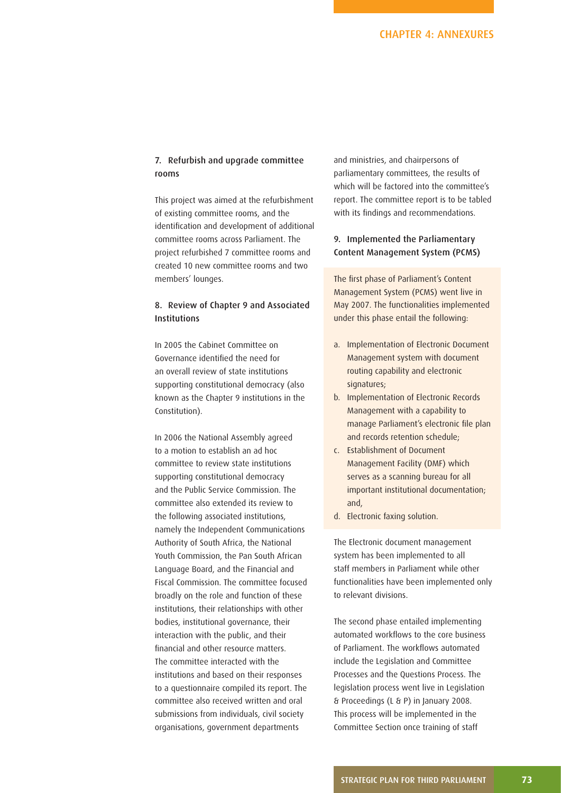## 7. Refurbish and upgrade committee rooms

This project was aimed at the refurbishment of existing committee rooms, and the identification and development of additional committee rooms across Parliament. The project refurbished 7 committee rooms and created 10 new committee rooms and two members' lounges.

## 8. Review of Chapter 9 and Associated Institutions

In 2005 the Cabinet Committee on Governance identified the need for an overall review of state institutions supporting constitutional democracy (also known as the Chapter 9 institutions in the Constitution).

In 2006 the National Assembly agreed to a motion to establish an ad hoc committee to review state institutions supporting constitutional democracy and the Public Service Commission. The committee also extended its review to the following associated institutions, namely the Independent Communications Authority of South Africa, the National Youth Commission, the Pan South African Language Board, and the Financial and Fiscal Commission. The committee focused broadly on the role and function of these institutions, their relationships with other bodies, institutional governance, their interaction with the public, and their financial and other resource matters. The committee interacted with the institutions and based on their responses to a questionnaire compiled its report. The committee also received written and oral submissions from individuals, civil society organisations, government departments

and ministries, and chairpersons of parliamentary committees, the results of which will be factored into the committee's report. The committee report is to be tabled with its findings and recommendations.

## 9. Implemented the Parliamentary Content Management System (PCMS)

The first phase of Parliament's Content Management System (PCMS) went live in May 2007. The functionalities implemented under this phase entail the following:

- a. Implementation of Electronic Document Management system with document routing capability and electronic signatures;
- b. Implementation of Electronic Records Management with a capability to manage Parliament's electronic file plan and records retention schedule;
- c. Establishment of Document Management Facility (DMF) which serves as a scanning bureau for all important institutional documentation; and,
- d. Electronic faxing solution.

The Electronic document management system has been implemented to all staff members in Parliament while other functionalities have been implemented only to relevant divisions.

The second phase entailed implementing automated workflows to the core business of Parliament. The workflows automated include the Legislation and Committee Processes and the Questions Process. The legislation process went live in Legislation & Proceedings (L & P) in January 2008. This process will be implemented in the Committee Section once training of staff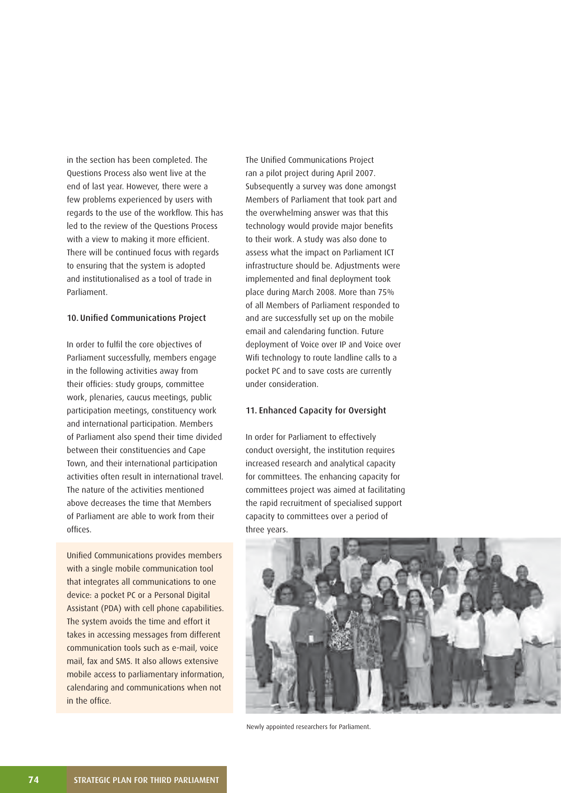in the section has been completed. The Questions Process also went live at the end of last year. However, there were a few problems experienced by users with regards to the use of the workflow. This has led to the review of the Questions Process with a view to making it more efficient. There will be continued focus with regards to ensuring that the system is adopted and institutionalised as a tool of trade in Parliament.

#### 10. Unified Communications Project

In order to fulfil the core objectives of Parliament successfully, members engage in the following activities away from their officies: study groups, committee work, plenaries, caucus meetings, public participation meetings, constituency work and international participation. Members of Parliament also spend their time divided between their constituencies and Cape Town, and their international participation activities often result in international travel. The nature of the activities mentioned above decreases the time that Members of Parliament are able to work from their offices.

Unified Communications provides members with a single mobile communication tool that integrates all communications to one device: a pocket PC or a Personal Digital Assistant (PDA) with cell phone capabilities. The system avoids the time and effort it takes in accessing messages from different communication tools such as e-mail, voice mail, fax and SMS. It also allows extensive mobile access to parliamentary information, calendaring and communications when not in the office.

The Unified Communications Project ran a pilot project during April 2007. Subsequently a survey was done amongst Members of Parliament that took part and the overwhelming answer was that this technology would provide major benefits to their work. A study was also done to assess what the impact on Parliament ICT infrastructure should be. Adjustments were implemented and final deployment took place during March 2008. More than 75% of all Members of Parliament responded to and are successfully set up on the mobile email and calendaring function. Future deployment of Voice over IP and Voice over Wifi technology to route landline calls to a pocket PC and to save costs are currently under consideration.

#### 11. Enhanced Capacity for Oversight

In order for Parliament to effectively conduct oversight, the institution requires increased research and analytical capacity for committees. The enhancing capacity for committees project was aimed at facilitating the rapid recruitment of specialised support capacity to committees over a period of three years.



Newly appointed researchers for Parliament.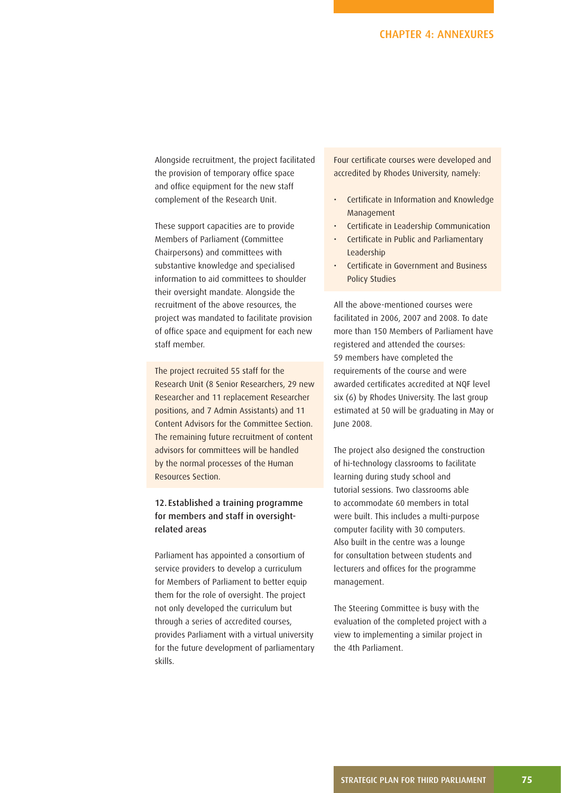Alongside recruitment, the project facilitated the provision of temporary office space and office equipment for the new staff complement of the Research Unit.

These support capacities are to provide Members of Parliament (Committee Chairpersons) and committees with substantive knowledge and specialised information to aid committees to shoulder their oversight mandate. Alongside the recruitment of the above resources, the project was mandated to facilitate provision of office space and equipment for each new staff member.

The project recruited 55 staff for the Research Unit (8 Senior Researchers, 29 new Researcher and 11 replacement Researcher positions, and 7 Admin Assistants) and 11 Content Advisors for the Committee Section. The remaining future recruitment of content advisors for committees will be handled by the normal processes of the Human Resources Section.

## 12. Established a training programme for members and staff in oversightrelated areas

Parliament has appointed a consortium of service providers to develop a curriculum for Members of Parliament to better equip them for the role of oversight. The project not only developed the curriculum but through a series of accredited courses, provides Parliament with a virtual university for the future development of parliamentary skills.

Four certificate courses were developed and accredited by Rhodes University, namely:

- Certificate in Information and Knowledge Management
- Certificate in Leadership Communication
- Certificate in Public and Parliamentary Leadership
- Certificate in Government and Business Policy Studies

All the above-mentioned courses were facilitated in 2006, 2007 and 2008. To date more than 150 Members of Parliament have registered and attended the courses: 59 members have completed the requirements of the course and were awarded certificates accredited at NQF level six (6) by Rhodes University. The last group estimated at 50 will be graduating in May or June 2008.

The project also designed the construction of hi-technology classrooms to facilitate learning during study school and tutorial sessions. Two classrooms able to accommodate 60 members in total were built. This includes a multi-purpose computer facility with 30 computers. Also built in the centre was a lounge for consultation between students and lecturers and offices for the programme management.

The Steering Committee is busy with the evaluation of the completed project with a view to implementing a similar project in the 4th Parliament.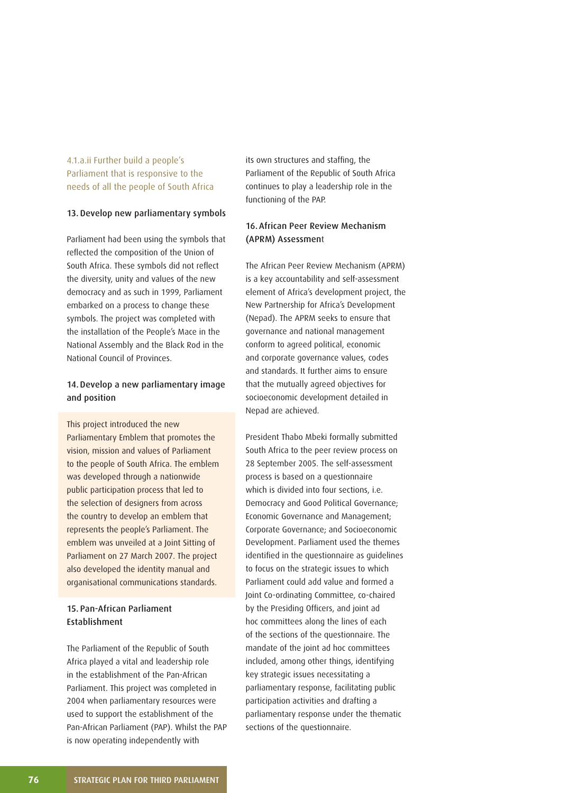4.1.a.ii Further build a people's Parliament that is responsive to the needs of all the people of South Africa

#### 13. Develop new parliamentary symbols

Parliament had been using the symbols that reflected the composition of the Union of South Africa. These symbols did not reflect the diversity, unity and values of the new democracy and as such in 1999, Parliament embarked on a process to change these symbols. The project was completed with the installation of the People's Mace in the National Assembly and the Black Rod in the National Council of Provinces.

## 14. Develop a new parliamentary image and position

This project introduced the new Parliamentary Emblem that promotes the vision, mission and values of Parliament to the people of South Africa. The emblem was developed through a nationwide public participation process that led to the selection of designers from across the country to develop an emblem that represents the people's Parliament. The emblem was unveiled at a Joint Sitting of Parliament on 27 March 2007. The project also developed the identity manual and organisational communications standards.

## 15. Pan-African Parliament Establishment

The Parliament of the Republic of South Africa played a vital and leadership role in the establishment of the Pan-African Parliament. This project was completed in 2004 when parliamentary resources were used to support the establishment of the Pan-African Parliament (PAP). Whilst the PAP is now operating independently with

its own structures and staffing, the Parliament of the Republic of South Africa continues to play a leadership role in the functioning of the PAP.

## 16. African Peer Review Mechanism (APRM) Assessment

The African Peer Review Mechanism (APRM) is a key accountability and self-assessment element of Africa's development project, the New Partnership for Africa's Development (Nepad). The APRM seeks to ensure that governance and national management conform to agreed political, economic and corporate governance values, codes and standards. It further aims to ensure that the mutually agreed objectives for socioeconomic development detailed in Nepad are achieved.

President Thabo Mbeki formally submitted South Africa to the peer review process on 28 September 2005. The self-assessment process is based on a questionnaire which is divided into four sections, i.e. Democracy and Good Political Governance; Economic Governance and Management; Corporate Governance; and Socioeconomic Development. Parliament used the themes identified in the questionnaire as quidelines to focus on the strategic issues to which Parliament could add value and formed a Joint Co-ordinating Committee, co-chaired by the Presiding Officers, and joint ad hoc committees along the lines of each of the sections of the questionnaire. The mandate of the joint ad hoc committees included, among other things, identifying key strategic issues necessitating a parliamentary response, facilitating public participation activities and drafting a parliamentary response under the thematic sections of the questionnaire.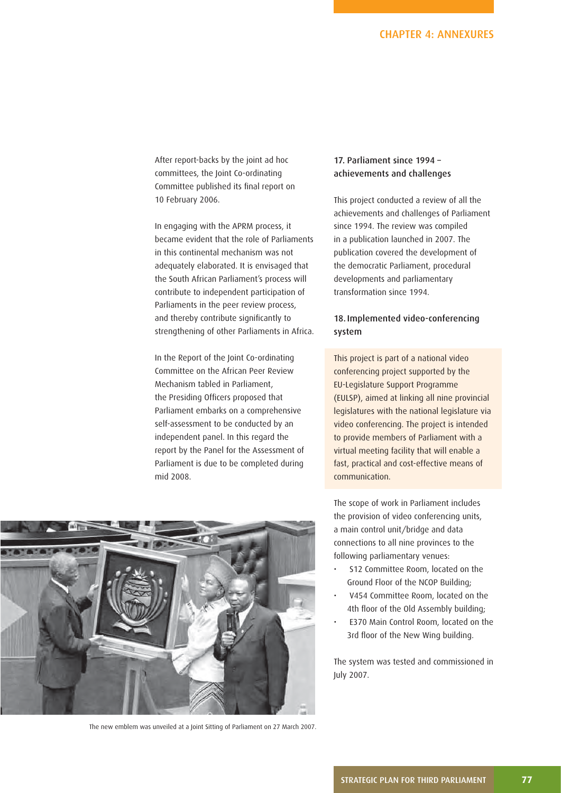After report-backs by the joint ad hoc committees, the Joint Co-ordinating Committee published its final report on 10 February 2006.

In engaging with the APRM process, it became evident that the role of Parliaments in this continental mechanism was not adequately elaborated. It is envisaged that the South African Parliament's process will contribute to independent participation of Parliaments in the peer review process, and thereby contribute significantly to strengthening of other Parliaments in Africa.

In the Report of the Joint Co-ordinating Committee on the African Peer Review Mechanism tabled in Parliament, the Presiding Officers proposed that Parliament embarks on a comprehensive self-assessment to be conducted by an independent panel. In this regard the report by the Panel for the Assessment of Parliament is due to be completed during mid 2008.



The new emblem was unveiled at a Joint Sitting of Parliament on 27 March 2007.

## 17. Parliament since 1994 – achievements and challenges

This project conducted a review of all the achievements and challenges of Parliament since 1994. The review was compiled in a publication launched in 2007. The publication covered the development of the democratic Parliament, procedural developments and parliamentary transformation since 1994.

## 18. Implemented video-conferencing system

This project is part of a national video conferencing project supported by the EU-Legislature Support Programme (EULSP), aimed at linking all nine provincial legislatures with the national legislature via video conferencing. The project is intended to provide members of Parliament with a virtual meeting facility that will enable a fast, practical and cost-effective means of communication.

The scope of work in Parliament includes the provision of video conferencing units, a main control unit/bridge and data connections to all nine provinces to the following parliamentary venues:

- S12 Committee Room, located on the Ground Floor of the NCOP Building;
- V454 Committee Room, located on the 4th floor of the Old Assembly building:
- E370 Main Control Room, located on the 3rd floor of the New Wing building.

The system was tested and commissioned in July 2007.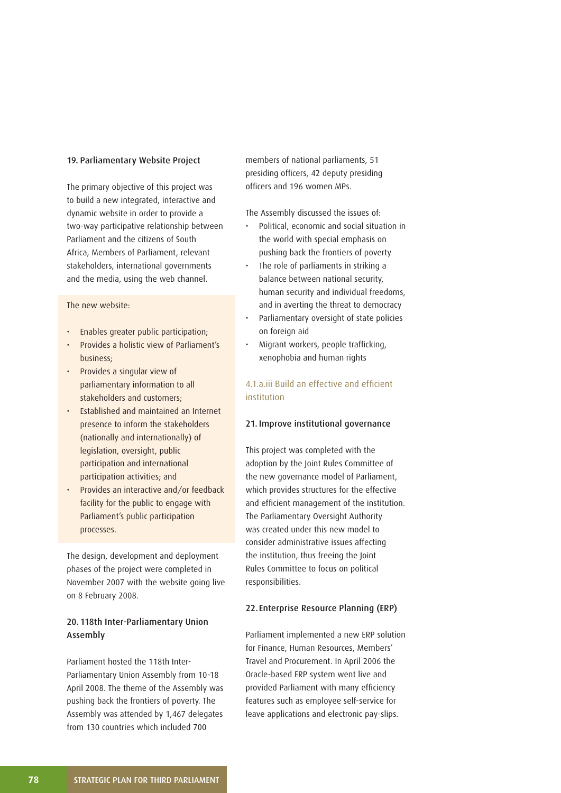#### 19. Parliamentary Website Project

The primary objective of this project was to build a new integrated, interactive and dynamic website in order to provide a two-way participative relationship between Parliament and the citizens of South Africa, Members of Parliament, relevant stakeholders, international governments and the media, using the web channel.

#### The new website:

- Enables greater public participation;
- Provides a holistic view of Parliament's business;
- Provides a singular view of parliamentary information to all stakeholders and customers;
- Established and maintained an Internet presence to inform the stakeholders (nationally and internationally) of legislation, oversight, public participation and international participation activities; and
- Provides an interactive and/or feedback facility for the public to engage with Parliament's public participation processes.

The design, development and deployment phases of the project were completed in November 2007 with the website going live on 8 February 2008.

## 20. 118th Inter-Parliamentary Union Assembly

Parliament hosted the 118th Inter-Parliamentary Union Assembly from 10-18 April 2008. The theme of the Assembly was pushing back the frontiers of poverty. The Assembly was attended by 1,467 delegates from 130 countries which included 700

members of national parliaments, 51 presiding officers, 42 deputy presiding officers and 196 women MPs.

The Assembly discussed the issues of:

- Political, economic and social situation in the world with special emphasis on pushing back the frontiers of poverty
- The role of parliaments in striking a balance between national security, human security and individual freedoms, and in averting the threat to democracy
- Parliamentary oversight of state policies on foreign aid
- Migrant workers, people trafficking, xenophobia and human rights

## 4.1.a.iii Build an effective and efficient institution

#### 21. Improve institutional governance

This project was completed with the adoption by the Joint Rules Committee of the new governance model of Parliament, which provides structures for the effective and efficient management of the institution. The Parliamentary Oversight Authority was created under this new model to consider administrative issues affecting the institution, thus freeing the Joint Rules Committee to focus on political responsibilities.

## 22. Enterprise Resource Planning (ERP)

Parliament implemented a new ERP solution for Finance, Human Resources, Members' Travel and Procurement. In April 2006 the Oracle-based ERP system went live and provided Parliament with many efficiency features such as employee self-service for leave applications and electronic pay-slips.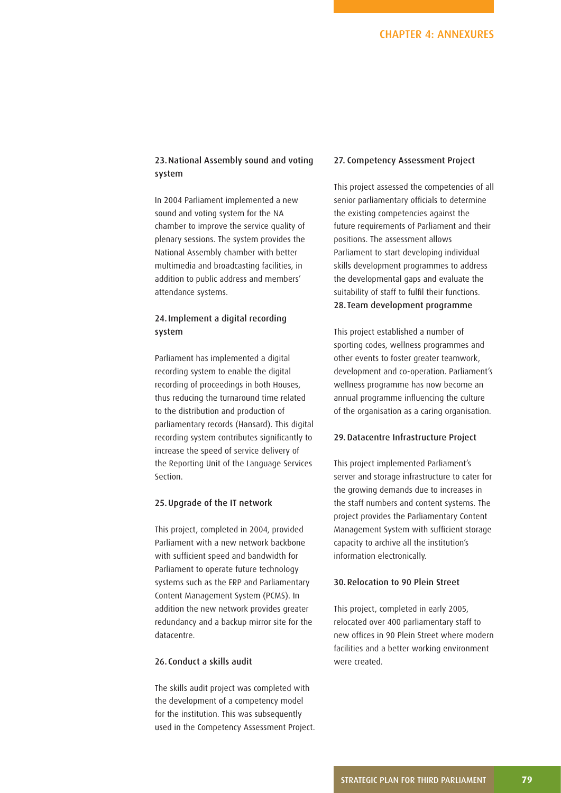## 23. National Assembly sound and voting system

In 2004 Parliament implemented a new sound and voting system for the NA chamber to improve the service quality of plenary sessions. The system provides the National Assembly chamber with better multimedia and broadcasting facilities, in addition to public address and members' attendance systems.

## 24. Implement a digital recording system

Parliament has implemented a digital recording system to enable the digital recording of proceedings in both Houses, thus reducing the turnaround time related to the distribution and production of parliamentary records (Hansard). This digital recording system contributes significantly to increase the speed of service delivery of the Reporting Unit of the Language Services Section.

#### 25. Upgrade of the IT network

This project, completed in 2004, provided Parliament with a new network backbone with sufficient speed and bandwidth for Parliament to operate future technology systems such as the ERP and Parliamentary Content Management System (PCMS). In addition the new network provides greater redundancy and a backup mirror site for the datacentre.

#### 26. Conduct a skills audit

The skills audit project was completed with the development of a competency model for the institution. This was subsequently used in the Competency Assessment Project.

#### 27. Competency Assessment Project

This project assessed the competencies of all senior parliamentary officials to determine the existing competencies against the future requirements of Parliament and their positions. The assessment allows Parliament to start developing individual skills development programmes to address the developmental gaps and evaluate the suitability of staff to fulfil their functions. 28. Team development programme

This project established a number of sporting codes, wellness programmes and other events to foster greater teamwork, development and co-operation. Parliament's wellness programme has now become an annual programme influencing the culture of the organisation as a caring organisation.

#### 29. Datacentre Infrastructure Project

This project implemented Parliament's server and storage infrastructure to cater for the growing demands due to increases in the staff numbers and content systems. The project provides the Parliamentary Content Management System with sufficient storage capacity to archive all the institution's information electronically.

## 30. Relocation to 90 Plein Street

This project, completed in early 2005, relocated over 400 parliamentary staff to new offices in 90 Plein Street where modern facilities and a better working environment were created.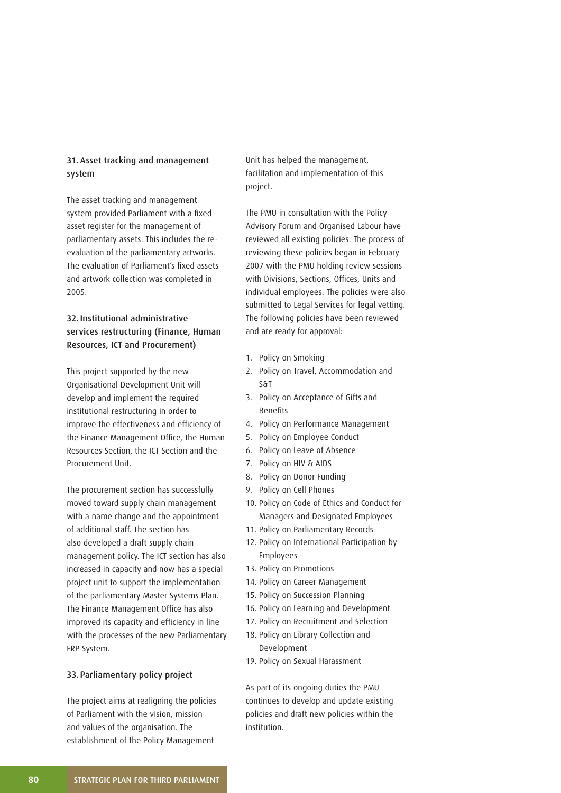## 31. Asset tracking and management system

The asset tracking and management system provided Parliament with a fixed asset register for the management of parliamentary assets. This includes the reevaluation of the parliamentary artworks. The evaluation of Parliament's fixed assets and artwork collection was completed in 2005.

## 32. Institutional administrative services restructuring (Finance, Human Resources, ICT and Procurement)

This project supported by the new Organisational Development Unit will develop and implement the required institutional restructuring in order to improve the effectiveness and efficiency of the Finance Management Office, the Human Resources Section, the ICT Section and the Procurement Unit.

The procurement section has successfully moved toward supply chain management with a name change and the appointment of additional staff. The section has also developed a draft supply chain management policy. The ICT section has also increased in capacity and now has a special project unit to support the implementation of the parliamentary Master Systems Plan. The Finance Management Office has also improved its capacity and efficiency in line with the processes of the new Parliamentary ERP System.

## 33. Parliamentary policy project

The project aims at realigning the policies of Parliament with the vision, mission and values of the organisation. The establishment of the Policy Management

Unit has helped the management, facilitation and implementation of this project.

The PMU in consultation with the Policy Advisory Forum and Organised Labour have reviewed all existing policies. The process of reviewing these policies began in February 2007 with the PMU holding review sessions with Divisions, Sections, Offices, Units and individual employees. The policies were also submitted to Legal Services for legal vetting. The following policies have been reviewed and are ready for approval:

- 1. Policy on Smoking
- 2. Policy on Travel, Accommodation and S&T
- 3. Policy on Acceptance of Gifts and **Benefits**
- 4. Policy on Performance Management
- 5. Policy on Employee Conduct
- 6. Policy on Leave of Absence
- 7. Policy on HIV & AIDS
- 8. Policy on Donor Funding
- 9. Policy on Cell Phones
- 10. Policy on Code of Ethics and Conduct for Managers and Designated Employees
- 11. Policy on Parliamentary Records
- 12. Policy on International Participation by Employees
- 13. Policy on Promotions
- 14. Policy on Career Management
- 15. Policy on Succession Planning
- 16. Policy on Learning and Development
- 17. Policy on Recruitment and Selection
- 18. Policy on Library Collection and Development
- 19. Policy on Sexual Harassment

As part of its ongoing duties the PMU continues to develop and update existing policies and draft new policies within the institution.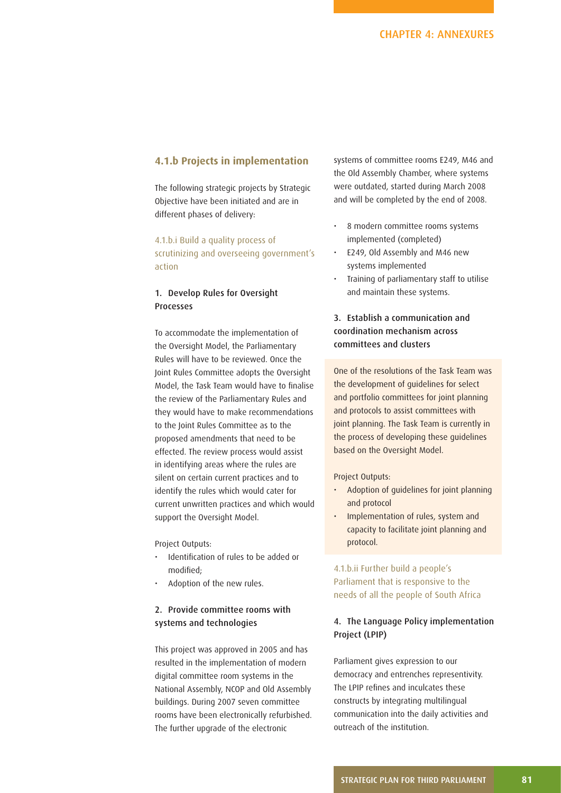## **4.1.b Projects in implementation**

The following strategic projects by Strategic Objective have been initiated and are in different phases of delivery:

4.1.b.i Build a quality process of scrutinizing and overseeing government's action

## 1. Develop Rules for Oversight Processes

To accommodate the implementation of the Oversight Model, the Parliamentary Rules will have to be reviewed. Once the Joint Rules Committee adopts the Oversight Model, the Task Team would have to finalise the review of the Parliamentary Rules and they would have to make recommendations to the Joint Rules Committee as to the proposed amendments that need to be effected. The review process would assist in identifying areas where the rules are silent on certain current practices and to identify the rules which would cater for current unwritten practices and which would support the Oversight Model.

Project Outputs:

- Identification of rules to be added or modified;
- Adoption of the new rules.

## 2. Provide committee rooms with systems and technologies

This project was approved in 2005 and has resulted in the implementation of modern digital committee room systems in the National Assembly, NCOP and Old Assembly buildings. During 2007 seven committee rooms have been electronically refurbished. The further upgrade of the electronic

systems of committee rooms E249, M46 and the Old Assembly Chamber, where systems were outdated, started during March 2008 and will be completed by the end of 2008.

- 8 modern committee rooms systems implemented (completed)
- E249, Old Assembly and M46 new systems implemented
- Training of parliamentary staff to utilise and maintain these systems.

## 3. Establish a communication and coordination mechanism across committees and clusters

One of the resolutions of the Task Team was the development of guidelines for select and portfolio committees for joint planning and protocols to assist committees with joint planning. The Task Team is currently in the process of developing these guidelines based on the Oversight Model.

#### Project Outputs:

- Adoption of guidelines for joint planning and protocol
- Implementation of rules, system and capacity to facilitate joint planning and protocol.

4.1.b.ii Further build a people's Parliament that is responsive to the needs of all the people of South Africa

## 4. The Language Policy implementation Project (LPIP)

Parliament gives expression to our democracy and entrenches representivity. The LPIP refines and inculcates these constructs by integrating multilingual communication into the daily activities and outreach of the institution.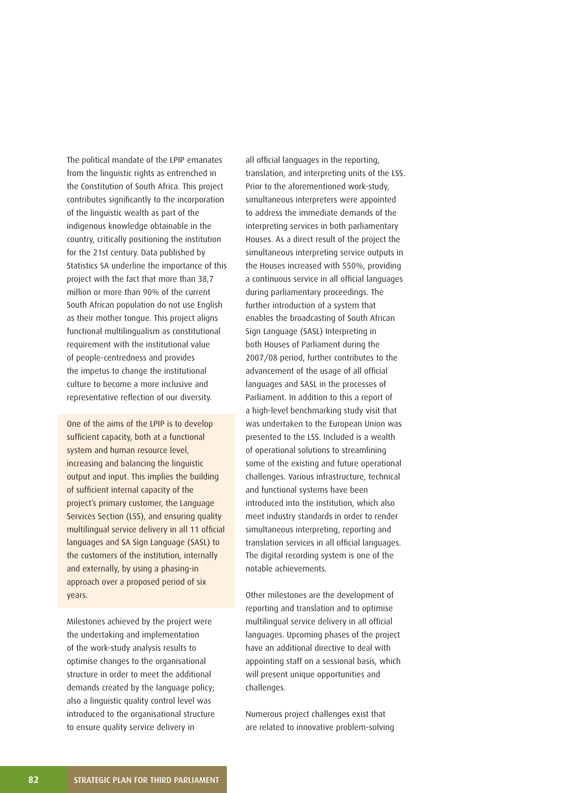The political mandate of the LPIP emanates from the linguistic rights as entrenched in the Constitution of South Africa. This project contributes significantly to the incorporation of the linguistic wealth as part of the indigenous knowledge obtainable in the country, critically positioning the institution for the 21st century. Data published by Statistics SA underline the importance of this project with the fact that more than 38,7 million or more than 90% of the current South African population do not use English as their mother tongue. This project aligns functional multilingualism as constitutional requirement with the institutional value of people-centredness and provides the impetus to change the institutional culture to become a more inclusive and representative reflection of our diversity.

One of the aims of the LPIP is to develop sufficient capacity, both at a functional system and human resource level, increasing and balancing the linguistic output and input. This implies the building of sufficient internal capacity of the project's primary customer, the Language Services Section (LSS), and ensuring quality multilingual service delivery in all 11 official languages and SA Sign Language (SASL) to the customers of the institution, internally and externally, by using a phasing-in approach over a proposed period of six years.

Milestones achieved by the project were the undertaking and implementation of the work-study analysis results to optimise changes to the organisational structure in order to meet the additional demands created by the language policy; also a linguistic quality control level was introduced to the organisational structure to ensure quality service delivery in

all official languages in the reporting, translation, and interpreting units of the LSS. Prior to the aforementioned work-study, simultaneous interpreters were appointed to address the immediate demands of the interpreting services in both parliamentary Houses. As a direct result of the project the simultaneous interpreting service outputs in the Houses increased with 550%, providing a continuous service in all official languages during parliamentary proceedings. The further introduction of a system that enables the broadcasting of South African Sign Language (SASL) Interpreting in both Houses of Parliament during the 2007/08 period, further contributes to the advancement of the usage of all official languages and SASL in the processes of Parliament. In addition to this a report of a high-level benchmarking study visit that was undertaken to the European Union was presented to the LSS. Included is a wealth of operational solutions to streamlining some of the existing and future operational challenges. Various infrastructure, technical and functional systems have been introduced into the institution, which also meet industry standards in order to render simultaneous interpreting, reporting and translation services in all official languages. The digital recording system is one of the notable achievements.

Other milestones are the development of reporting and translation and to optimise multilingual service delivery in all official languages. Upcoming phases of the project have an additional directive to deal with appointing staff on a sessional basis, which will present unique opportunities and challenges.

Numerous project challenges exist that are related to innovative problem-solving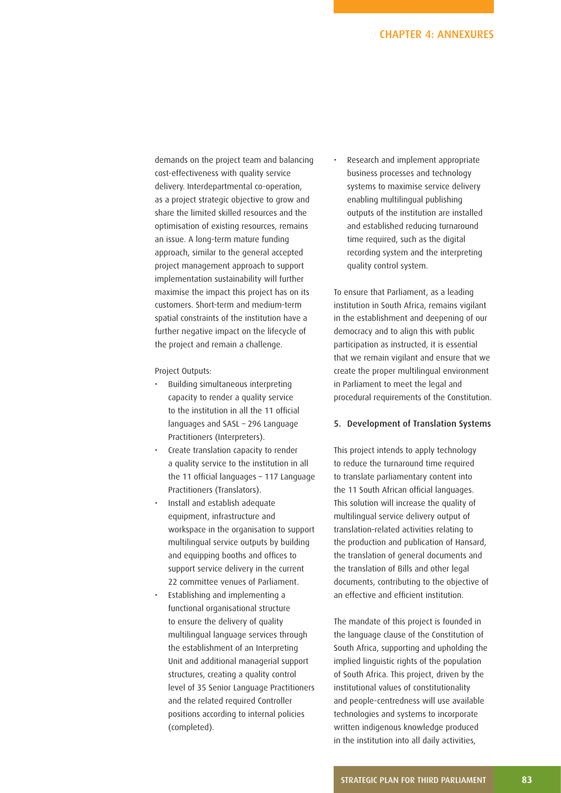## CHAPTER 4: ANNEXURES

demands on the project team and balancing cost-effectiveness with quality service delivery. Interdepartmental co-operation, as a project strategic objective to grow and share the limited skilled resources and the optimisation of existing resources, remains an issue. A long-term mature funding approach, similar to the general accepted project management approach to support implementation sustainability will further maximise the impact this project has on its customers. Short-term and medium-term spatial constraints of the institution have a further negative impact on the lifecycle of the project and remain a challenge.

Project Outputs:

- Building simultaneous interpreting capacity to render a quality service to the institution in all the 11 official languages and SASL – 296 Language Practitioners (Interpreters).
- Create translation capacity to render a quality service to the institution in all the 11 official languages  $-117$  Language Practitioners (Translators).
- Install and establish adequate equipment, infrastructure and workspace in the organisation to support multilingual service outputs by building and equipping booths and offices to support service delivery in the current 22 committee venues of Parliament.
- Establishing and implementing a functional organisational structure to ensure the delivery of quality multilingual language services through the establishment of an Interpreting Unit and additional managerial support structures, creating a quality control level of 35 Senior Language Practitioners and the related required Controller positions according to internal policies (completed).

• Research and implement appropriate business processes and technology systems to maximise service delivery enabling multilingual publishing outputs of the institution are installed and established reducing turnaround time required, such as the digital recording system and the interpreting quality control system.

To ensure that Parliament, as a leading institution in South Africa, remains vigilant in the establishment and deepening of our democracy and to align this with public participation as instructed, it is essential that we remain vigilant and ensure that we create the proper multilingual environment in Parliament to meet the legal and procedural requirements of the Constitution.

#### 5. Development of Translation Systems

This project intends to apply technology to reduce the turnaround time required to translate parliamentary content into the 11 South African official languages. This solution will increase the quality of multilingual service delivery output of translation-related activities relating to the production and publication of Hansard, the translation of general documents and the translation of Bills and other legal documents, contributing to the objective of an effective and efficient institution.

The mandate of this project is founded in the language clause of the Constitution of South Africa, supporting and upholding the implied linguistic rights of the population of South Africa. This project, driven by the institutional values of constitutionality and people-centredness will use available technologies and systems to incorporate written indigenous knowledge produced in the institution into all daily activities,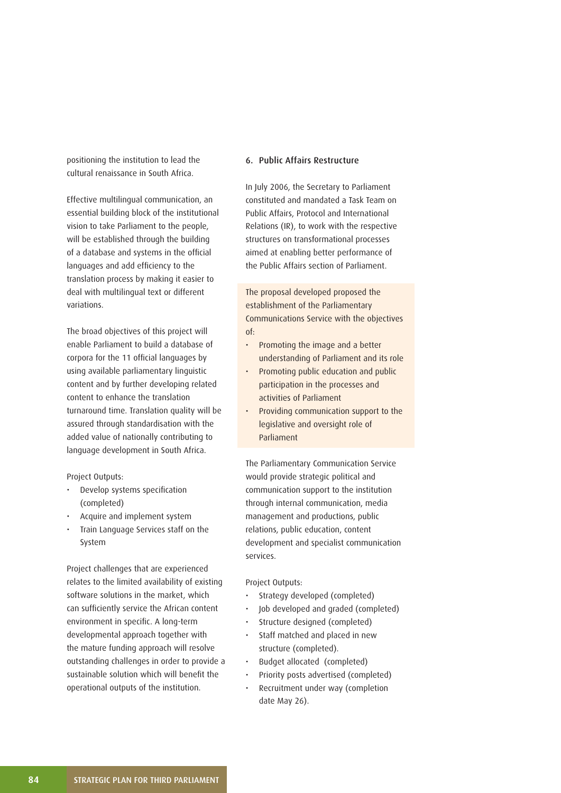positioning the institution to lead the cultural renaissance in South Africa.

Effective multilingual communication, an essential building block of the institutional vision to take Parliament to the people, will be established through the building of a database and systems in the official languages and add efficiency to the translation process by making it easier to deal with multilingual text or different variations.

The broad objectives of this project will enable Parliament to build a database of corpora for the 11 official languages by using available parliamentary linguistic content and by further developing related content to enhance the translation turnaround time. Translation quality will be assured through standardisation with the added value of nationally contributing to language development in South Africa.

Project Outputs:

- Develop systems specification (completed)
- Acquire and implement system
- Train Language Services staff on the System

Project challenges that are experienced relates to the limited availability of existing software solutions in the market, which can sufficiently service the African content environment in specific. A long-term developmental approach together with the mature funding approach will resolve outstanding challenges in order to provide a sustainable solution which will benefit the operational outputs of the institution.

#### 6. Public Affairs Restructure

In July 2006, the Secretary to Parliament constituted and mandated a Task Team on Public Affairs, Protocol and International Relations (IR), to work with the respective structures on transformational processes aimed at enabling better performance of the Public Affairs section of Parliament.

The proposal developed proposed the establishment of the Parliamentary Communications Service with the objectives of:

- Promoting the image and a better understanding of Parliament and its role
- Promoting public education and public participation in the processes and activities of Parliament
- Providing communication support to the legislative and oversight role of Parliament

The Parliamentary Communication Service would provide strategic political and communication support to the institution through internal communication, media management and productions, public relations, public education, content development and specialist communication services.

- Strategy developed (completed)
- Job developed and graded (completed)
- Structure designed (completed)
- Staff matched and placed in new structure (completed).
- Budget allocated (completed)
- Priority posts advertised (completed)
- Recruitment under way (completion date May 26).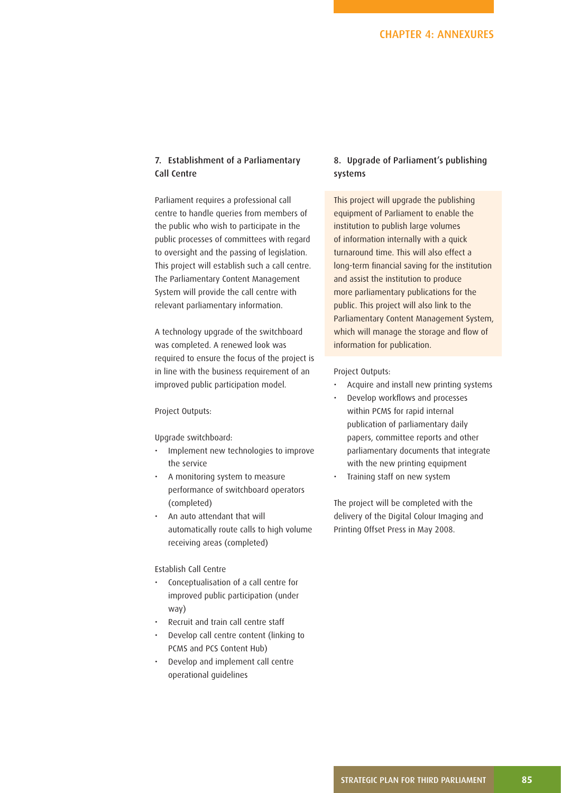## 7. Establishment of a Parliamentary Call Centre

Parliament requires a professional call centre to handle queries from members of the public who wish to participate in the public processes of committees with regard to oversight and the passing of legislation. This project will establish such a call centre. The Parliamentary Content Management System will provide the call centre with relevant parliamentary information.

A technology upgrade of the switchboard was completed. A renewed look was required to ensure the focus of the project is in line with the business requirement of an improved public participation model.

#### Project Outputs:

Upgrade switchboard:

- Implement new technologies to improve the service
- A monitoring system to measure performance of switchboard operators (completed)
- An auto attendant that will automatically route calls to high volume receiving areas (completed)

#### Establish Call Centre

- Conceptualisation of a call centre for improved public participation (under way)
- Recruit and train call centre staff
- Develop call centre content (linking to PCMS and PCS Content Hub)
- Develop and implement call centre operational guidelines

## 8. Upgrade of Parliament's publishing systems

This project will upgrade the publishing equipment of Parliament to enable the institution to publish large volumes of information internally with a quick turnaround time. This will also effect a long-term financial saving for the institution and assist the institution to produce more parliamentary publications for the public. This project will also link to the Parliamentary Content Management System, which will manage the storage and flow of information for publication.

Project Outputs:

- Acquire and install new printing systems
- Develop workflows and processes within PCMS for rapid internal publication of parliamentary daily papers, committee reports and other parliamentary documents that integrate with the new printing equipment
- Training staff on new system

The project will be completed with the delivery of the Digital Colour Imaging and Printing Offset Press in May 2008.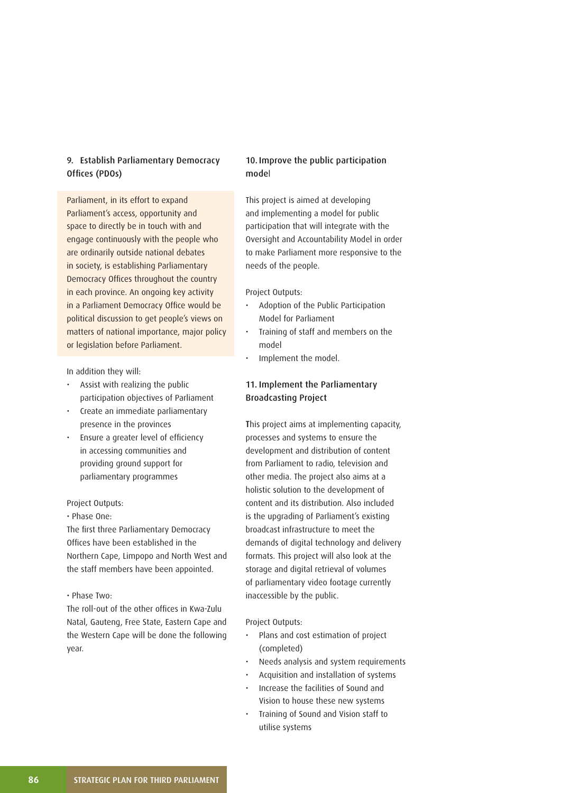## 9. Establish Parliamentary Democracy Offices (PDOs)

Parliament, in its effort to expand Parliament's access, opportunity and space to directly be in touch with and engage continuously with the people who are ordinarily outside national debates in society, is establishing Parliamentary Democracy Offices throughout the country in each province. An ongoing key activity in a Parliament Democracy Office would be political discussion to get people's views on matters of national importance, major policy or legislation before Parliament.

In addition they will:

- Assist with realizing the public participation objectives of Parliament
- Create an immediate parliamentary presence in the provinces
- Ensure a greater level of efficiency in accessing communities and providing ground support for parliamentary programmes

#### Project Outputs:

• Phase One:

The first three Parliamentary Democracy Offices have been established in the Northern Cape, Limpopo and North West and the staff members have been appointed.

#### • Phase Two:

The roll-out of the other offices in Kwa-Zulu Natal, Gauteng, Free State, Eastern Cape and the Western Cape will be done the following year.

## 10. Improve the public participation model

This project is aimed at developing and implementing a model for public participation that will integrate with the Oversight and Accountability Model in order to make Parliament more responsive to the needs of the people.

#### Project Outputs:

- Adoption of the Public Participation Model for Parliament
- Training of staff and members on the model
- Implement the model.

## 11. Implement the Parliamentary Broadcasting Project

This project aims at implementing capacity, processes and systems to ensure the development and distribution of content from Parliament to radio, television and other media. The project also aims at a holistic solution to the development of content and its distribution. Also included is the upgrading of Parliament's existing broadcast infrastructure to meet the demands of digital technology and delivery formats. This project will also look at the storage and digital retrieval of volumes of parliamentary video footage currently inaccessible by the public.

- Plans and cost estimation of project (completed)
- Needs analysis and system requirements
- Acquisition and installation of systems
- Increase the facilities of Sound and Vision to house these new systems
- Training of Sound and Vision staff to utilise systems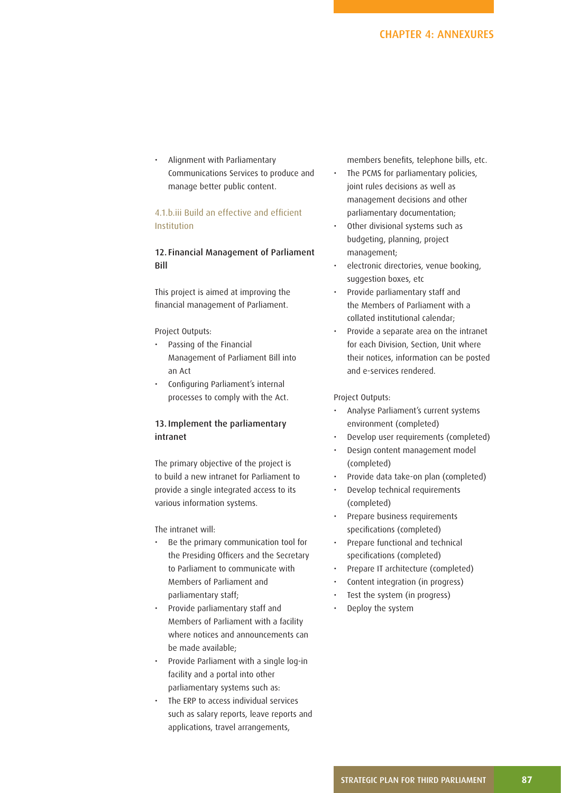• Alignment with Parliamentary Communications Services to produce and manage better public content.

## 4.1.b.iii Build an effective and efficient Institution

## 12. Financial Management of Parliament Bill

This project is aimed at improving the financial management of Parliament.

#### Project Outputs:

- Passing of the Financial Management of Parliament Bill into an Act
- Configuring Parliament's internal processes to comply with the Act.

## 13. Implement the parliamentary intranet

The primary objective of the project is to build a new intranet for Parliament to provide a single integrated access to its various information systems.

## The intranet will:

- Be the primary communication tool for the Presiding Officers and the Secretary to Parliament to communicate with Members of Parliament and parliamentary staff;
- Provide parliamentary staff and Members of Parliament with a facility where notices and announcements can be made available;
- Provide Parliament with a single log-in facility and a portal into other parliamentary systems such as:
- The ERP to access individual services such as salary reports, leave reports and applications, travel arrangements,

members benefits, telephone bills, etc.

- The PCMS for parliamentary policies, joint rules decisions as well as management decisions and other parliamentary documentation;
- Other divisional systems such as budgeting, planning, project management;
- electronic directories, venue booking, suggestion boxes, etc
- Provide parliamentary staff and the Members of Parliament with a collated institutional calendar;
- Provide a separate area on the intranet for each Division, Section, Unit where their notices, information can be posted and e-services rendered.

- Analyse Parliament's current systems environment (completed)
- Develop user requirements (completed)
- Design content management model (completed)
- Provide data take-on plan (completed)
- Develop technical requirements (completed)
- Prepare business requirements specifications (completed)
- Prepare functional and technical specifications (completed)
- Prepare IT architecture (completed)
- Content integration (in progress)
- Test the system (in progress)
- Deploy the system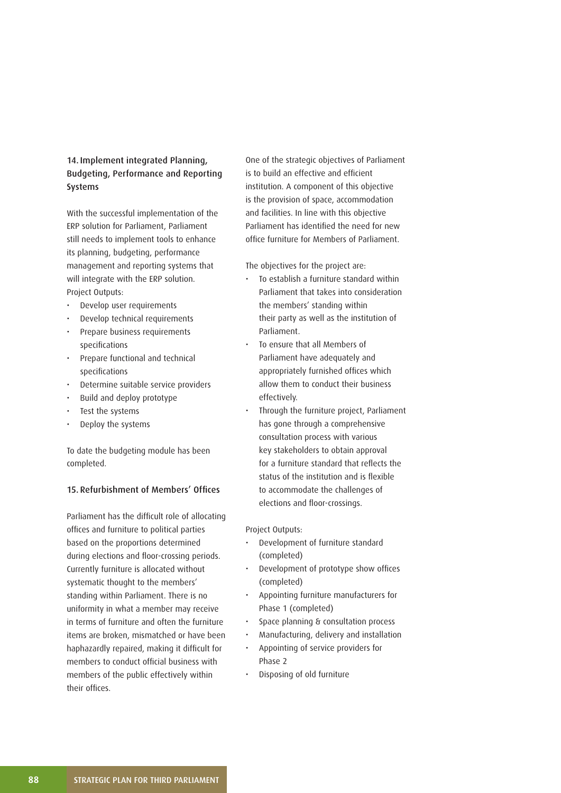## 14. Implement integrated Planning, Budgeting, Performance and Reporting Systems

With the successful implementation of the ERP solution for Parliament, Parliament still needs to implement tools to enhance its planning, budgeting, performance management and reporting systems that will integrate with the ERP solution. Project Outputs:

- Develop user requirements
- Develop technical requirements
- Prepare business requirements specifications
- Prepare functional and technical specifications
- Determine suitable service providers
- Build and deploy prototype
- Test the systems
- Deploy the systems

To date the budgeting module has been completed.

## 15. Refurbishment of Members' Offices

Parliament has the difficult role of allocating offices and furniture to political parties based on the proportions determined during elections and floor-crossing periods. Currently furniture is allocated without systematic thought to the members' standing within Parliament. There is no uniformity in what a member may receive in terms of furniture and often the furniture items are broken, mismatched or have been haphazardly repaired, making it difficult for members to conduct official business with members of the public effectively within their offices.

One of the strategic objectives of Parliament is to build an effective and efficient institution. A component of this objective is the provision of space, accommodation and facilities. In line with this objective Parliament has identified the need for new office furniture for Members of Parliament.

The objectives for the project are:

- To establish a furniture standard within Parliament that takes into consideration the members' standing within their party as well as the institution of Parliament.
- To ensure that all Members of Parliament have adequately and appropriately furnished offices which allow them to conduct their business effectively.
- Through the furniture project, Parliament has gone through a comprehensive consultation process with various key stakeholders to obtain approval for a furniture standard that reflects the status of the institution and is flexible to accommodate the challenges of elections and floor-crossings.

- Development of furniture standard (completed)
- Development of prototype show offices (completed)
- Appointing furniture manufacturers for Phase 1 (completed)
- Space planning & consultation process
- Manufacturing, delivery and installation
- Appointing of service providers for Phase 2
- Disposing of old furniture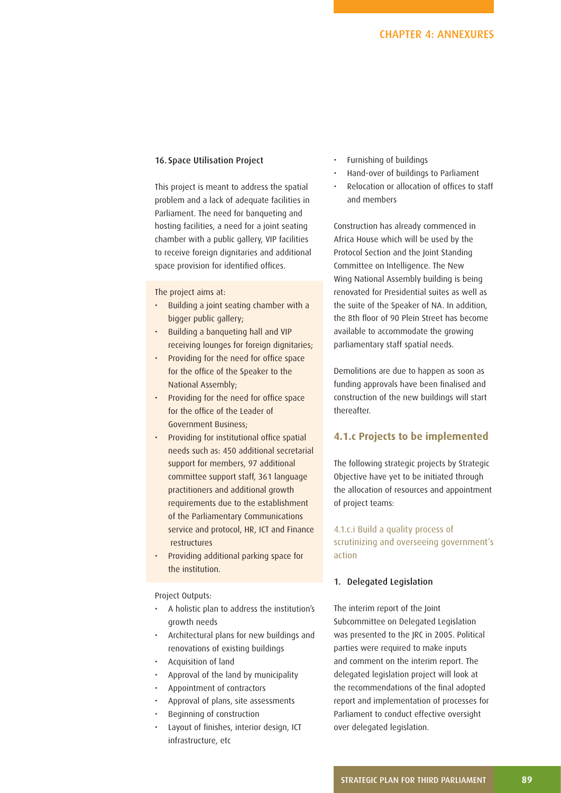## 16. Space Utilisation Project

This project is meant to address the spatial problem and a lack of adequate facilities in Parliament. The need for banqueting and hosting facilities, a need for a joint seating chamber with a public gallery, VIP facilities to receive foreign dignitaries and additional space provision for identified offices.

The project aims at:

- Building a joint seating chamber with a bigger public gallery;
- Building a banqueting hall and VIP receiving lounges for foreign dignitaries;
- Providing for the need for office space for the office of the Speaker to the National Assembly;
- Providing for the need for office space for the office of the Leader of Government Business;
- Providing for institutional office spatial needs such as: 450 additional secretarial support for members, 97 additional committee support staff, 361 language practitioners and additional growth requirements due to the establishment of the Parliamentary Communications service and protocol, HR, ICT and Finance restructures
- Providing additional parking space for the institution.

Project Outputs:

- A holistic plan to address the institution's growth needs
- Architectural plans for new buildings and renovations of existing buildings
- Acquisition of land
- Approval of the land by municipality
- Appointment of contractors
- Approval of plans, site assessments
- Beginning of construction
- Layout of finishes, interior design, ICT infrastructure, etc
- Furnishing of buildings
- Hand-over of buildings to Parliament
- Relocation or allocation of offices to staff and members

Construction has already commenced in Africa House which will be used by the Protocol Section and the Joint Standing Committee on Intelligence. The New Wing National Assembly building is being renovated for Presidential suites as well as the suite of the Speaker of NA. In addition, the 8th floor of 90 Plein Street has become available to accommodate the growing parliamentary staff spatial needs.

Demolitions are due to happen as soon as funding approvals have been finalised and construction of the new buildings will start thereafter.

## **4.1.c Projects to be implemented**

The following strategic projects by Strategic Objective have yet to be initiated through the allocation of resources and appointment of project teams:

4.1.c.i Build a quality process of scrutinizing and overseeing government's action

## 1. Delegated Legislation

The interim report of the Joint Subcommittee on Delegated Legislation was presented to the JRC in 2005. Political parties were required to make inputs and comment on the interim report. The delegated legislation project will look at the recommendations of the final adopted report and implementation of processes for Parliament to conduct effective oversight over delegated legislation.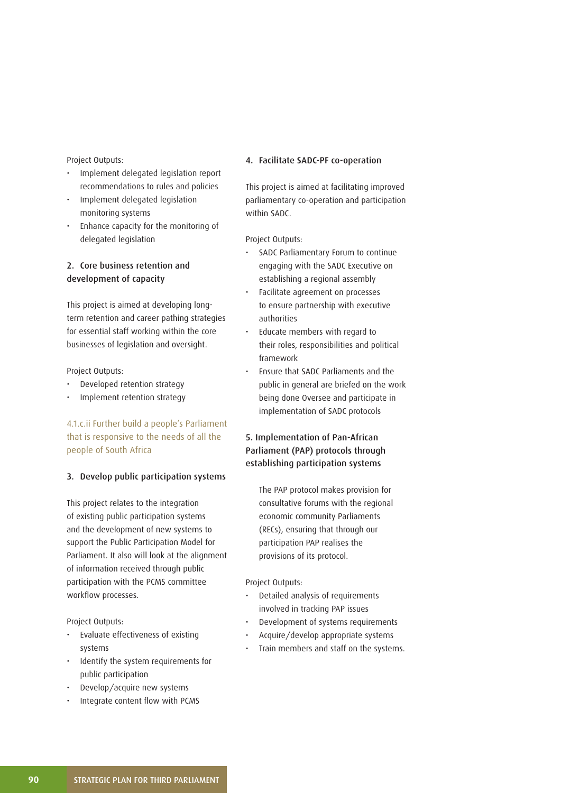Project Outputs:

- Implement delegated legislation report recommendations to rules and policies
- Implement delegated legislation monitoring systems
- Enhance capacity for the monitoring of delegated legislation

## 2. Core business retention and development of capacity

This project is aimed at developing longterm retention and career pathing strategies for essential staff working within the core businesses of legislation and oversight.

Project Outputs:

- Developed retention strategy
- Implement retention strategy

## 4.1.c.ii Further build a people's Parliament that is responsive to the needs of all the people of South Africa

#### 3. Develop public participation systems

This project relates to the integration of existing public participation systems and the development of new systems to support the Public Participation Model for Parliament. It also will look at the alignment of information received through public participation with the PCMS committee workflow processes.

Project Outputs:

- Evaluate effectiveness of existing systems
- Identify the system requirements for public participation
- Develop/acquire new systems
- Integrate content flow with PCMS

#### 4. Facilitate SADC-PF co-operation

This project is aimed at facilitating improved parliamentary co-operation and participation within SADC.

Project Outputs:

- SADC Parliamentary Forum to continue engaging with the SADC Executive on establishing a regional assembly
- Facilitate agreement on processes to ensure partnership with executive authorities
- Educate members with regard to their roles, responsibilities and political framework
- Ensure that SADC Parliaments and the public in general are briefed on the work being done Oversee and participate in implementation of SADC protocols

## 5. Implementation of Pan-African Parliament (PAP) protocols through establishing participation systems

 The PAP protocol makes provision for consultative forums with the regional economic community Parliaments (RECs), ensuring that through our participation PAP realises the provisions of its protocol.

- Detailed analysis of requirements involved in tracking PAP issues
- Development of systems requirements
- Acquire/develop appropriate systems
- Train members and staff on the systems.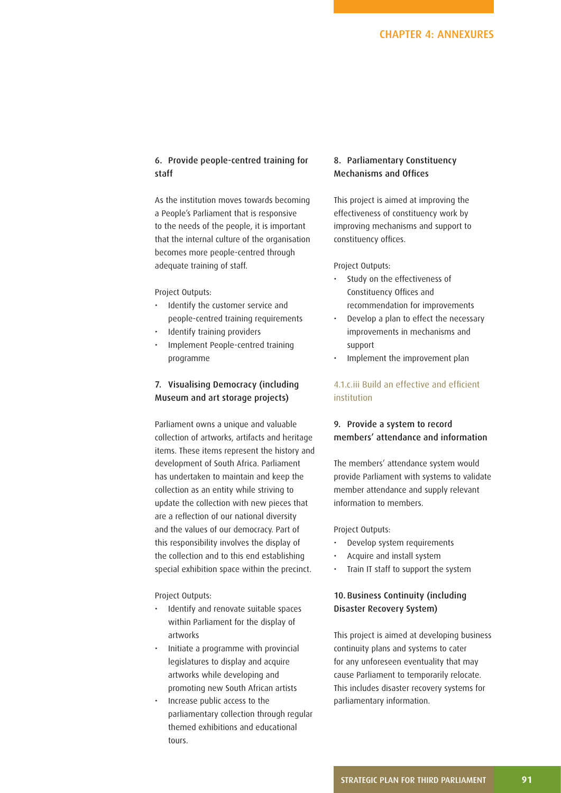## 6. Provide people-centred training for staff

As the institution moves towards becoming a People's Parliament that is responsive to the needs of the people, it is important that the internal culture of the organisation becomes more people-centred through adequate training of staff.

#### Project Outputs:

- Identify the customer service and people-centred training requirements
- Identify training providers
- Implement People-centred training programme

## 7. Visualising Democracy (including Museum and art storage projects)

Parliament owns a unique and valuable collection of artworks, artifacts and heritage items. These items represent the history and development of South Africa. Parliament has undertaken to maintain and keep the collection as an entity while striving to update the collection with new pieces that are a reflection of our national diversity and the values of our democracy. Part of this responsibility involves the display of the collection and to this end establishing special exhibition space within the precinct.

Project Outputs:

- Identify and renovate suitable spaces within Parliament for the display of artworks
- Initiate a programme with provincial legislatures to display and acquire artworks while developing and promoting new South African artists
- Increase public access to the parliamentary collection through regular themed exhibitions and educational tours.

## 8. Parliamentary Constituency Mechanisms and Offices

This project is aimed at improving the effectiveness of constituency work by improving mechanisms and support to constituency offices.

Project Outputs:

- Study on the effectiveness of Constituency Offices and recommendation for improvements
- Develop a plan to effect the necessary improvements in mechanisms and support
- Implement the improvement plan

## 4.1 c.iii Build an effective and efficient institution

## 9. Provide a system to record members' attendance and information

The members' attendance system would provide Parliament with systems to validate member attendance and supply relevant information to members.

Project Outputs:

- Develop system requirements
- Acquire and install system
- Train IT staff to support the system

## 10. Business Continuity (including Disaster Recovery System)

This project is aimed at developing business continuity plans and systems to cater for any unforeseen eventuality that may cause Parliament to temporarily relocate. This includes disaster recovery systems for parliamentary information.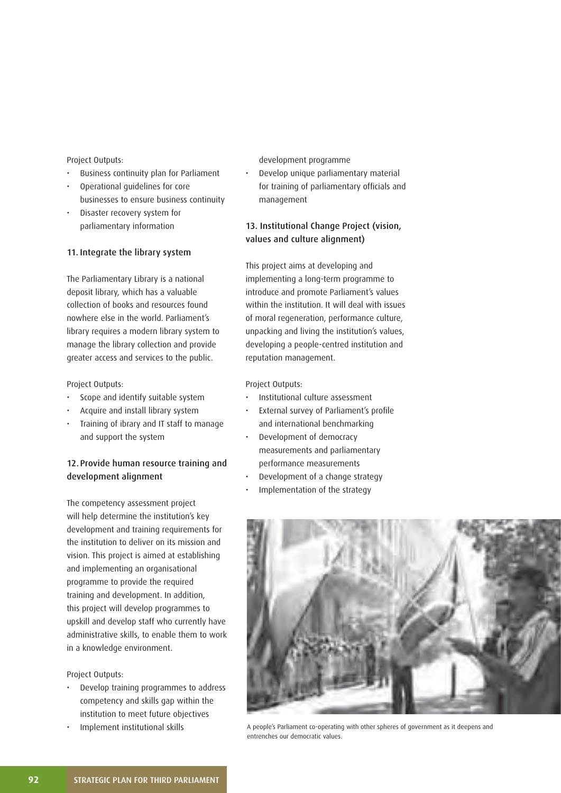#### Project Outputs:

- Business continuity plan for Parliament
- Operational guidelines for core businesses to ensure business continuity
- Disaster recovery system for parliamentary information

#### 11. Integrate the library system

The Parliamentary Library is a national deposit library, which has a valuable collection of books and resources found nowhere else in the world. Parliament's library requires a modern library system to manage the library collection and provide greater access and services to the public.

Project Outputs:

- Scope and identify suitable system
- Acquire and install library system
- Training of ibrary and IT staff to manage and support the system

## 12. Provide human resource training and development alignment

The competency assessment project will help determine the institution's key development and training requirements for the institution to deliver on its mission and vision. This project is aimed at establishing and implementing an organisational programme to provide the required training and development. In addition, this project will develop programmes to upskill and develop staff who currently have administrative skills, to enable them to work in a knowledge environment.

Project Outputs:

- Develop training programmes to address competency and skills gap within the institution to meet future objectives
- Implement institutional skills

development programme

• Develop unique parliamentary material for training of parliamentary officials and management

## 13. Institutional Change Project (vision, values and culture alignment)

This project aims at developing and implementing a long-term programme to introduce and promote Parliament's values within the institution. It will deal with issues of moral regeneration, performance culture, unpacking and living the institution's values, developing a people-centred institution and reputation management.

- Institutional culture assessment
- External survey of Parliament's profile and international benchmarking
- Development of democracy measurements and parliamentary performance measurements
- Development of a change strategy
- Implementation of the strategy



A people's Parliament co-operating with other spheres of government as it deepens and entrenches our democratic values.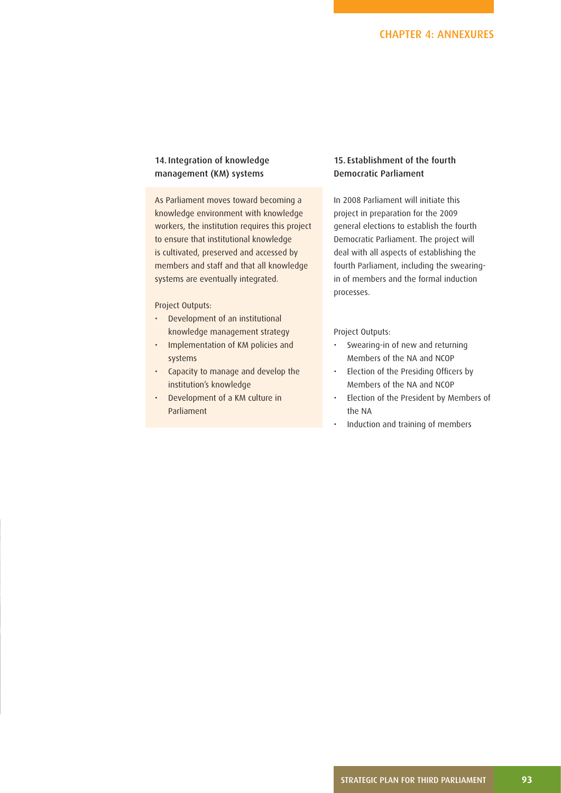## 14. Integration of knowledge management (KM) systems

As Parliament moves toward becoming a knowledge environment with knowledge workers, the institution requires this project to ensure that institutional knowledge is cultivated, preserved and accessed by members and staff and that all knowledge systems are eventually integrated.

#### Project Outputs:

- Development of an institutional knowledge management strategy
- Implementation of KM policies and systems
- Capacity to manage and develop the institution's knowledge
- Development of a KM culture in Parliament

## 15. Establishment of the fourth Democratic Parliament

In 2008 Parliament will initiate this project in preparation for the 2009 general elections to establish the fourth Democratic Parliament. The project will deal with all aspects of establishing the fourth Parliament, including the swearingin of members and the formal induction processes.

- Swearing-in of new and returning Members of the NA and NCOP
- Election of the Presiding Officers by Members of the NA and NCOP
- Election of the President by Members of the NA
- Induction and training of members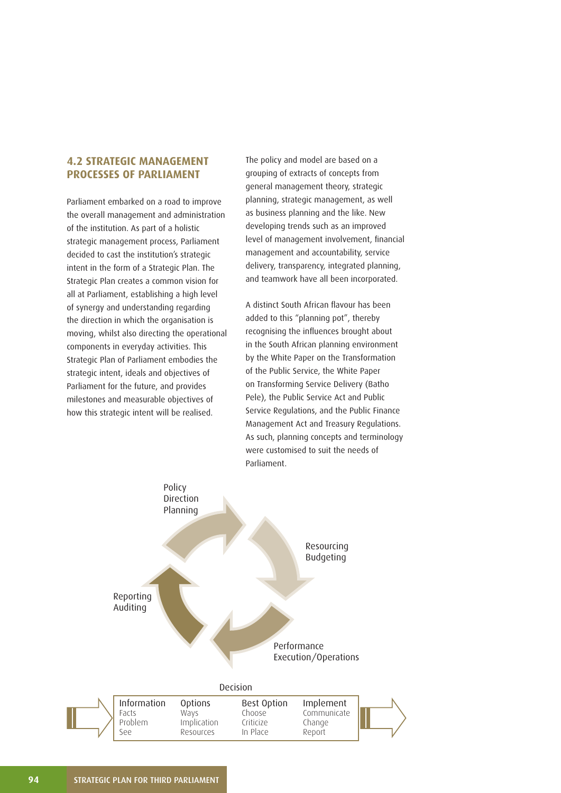## **4.2 STRATEGIC MANAGEMENT PROCESSES OF PARLIAMENT**

Parliament embarked on a road to improve the overall management and administration of the institution. As part of a holistic strategic management process, Parliament decided to cast the institution's strategic intent in the form of a Strategic Plan. The Strategic Plan creates a common vision for all at Parliament, establishing a high level of synergy and understanding regarding the direction in which the organisation is moving, whilst also directing the operational components in everyday activities. This Strategic Plan of Parliament embodies the strategic intent, ideals and objectives of Parliament for the future, and provides milestones and measurable objectives of how this strategic intent will be realised.

The policy and model are based on a grouping of extracts of concepts from general management theory, strategic planning, strategic management, as well as business planning and the like. New developing trends such as an improved level of management involvement, financial management and accountability, service delivery, transparency, integrated planning, and teamwork have all been incorporated.

A distinct South African flavour has been added to this "planning pot", thereby recognising the influences brought about in the South African planning environment by the White Paper on the Transformation of the Public Service, the White Paper on Transforming Service Delivery (Batho Pele), the Public Service Act and Public Service Regulations, and the Public Finance Management Act and Treasury Regulations. As such, planning concepts and terminology were customised to suit the needs of Parliament.

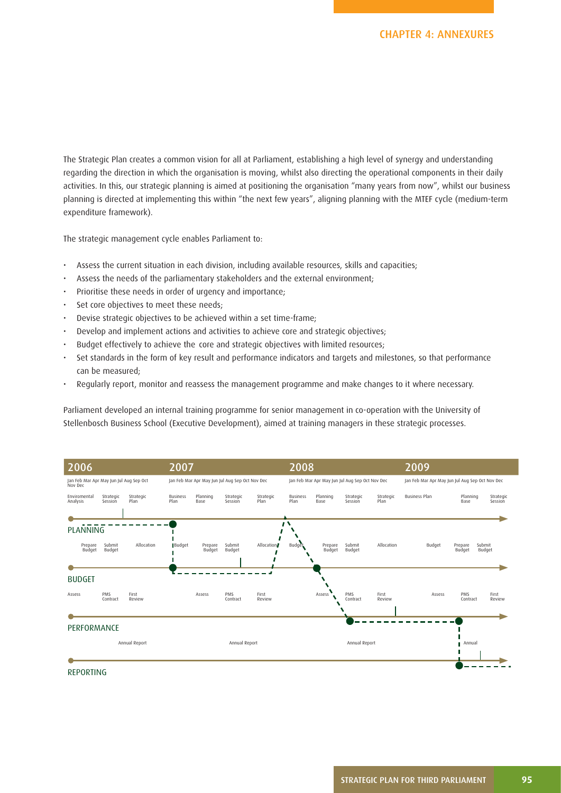The Strategic Plan creates a common vision for all at Parliament, establishing a high level of synergy and understanding regarding the direction in which the organisation is moving, whilst also directing the operational components in their daily activities. In this, our strategic planning is aimed at positioning the organisation "many years from now", whilst our business planning is directed at implementing this within "the next few years", aligning planning with the MTEF cycle (medium-term expenditure framework).

The strategic management cycle enables Parliament to:

- Assess the current situation in each division, including available resources, skills and capacities;
- Assess the needs of the parliamentary stakeholders and the external environment;
- Prioritise these needs in order of urgency and importance;
- Set core objectives to meet these needs;
- Devise strategic objectives to be achieved within a set time-frame;
- Develop and implement actions and activities to achieve core and strategic objectives;
- Budget effectively to achieve the core and strategic objectives with limited resources;
- Set standards in the form of key result and performance indicators and targets and milestones, so that performance can be measured;
- Regularly report, monitor and reassess the management programme and make changes to it where necessary.

Parliament developed an internal training programme for senior management in co-operation with the University of Stellenbosch Business School (Executive Development), aimed at training managers in these strategic processes.



STRATEGIC PLAN FOR THIRD PARLIAMENT **95**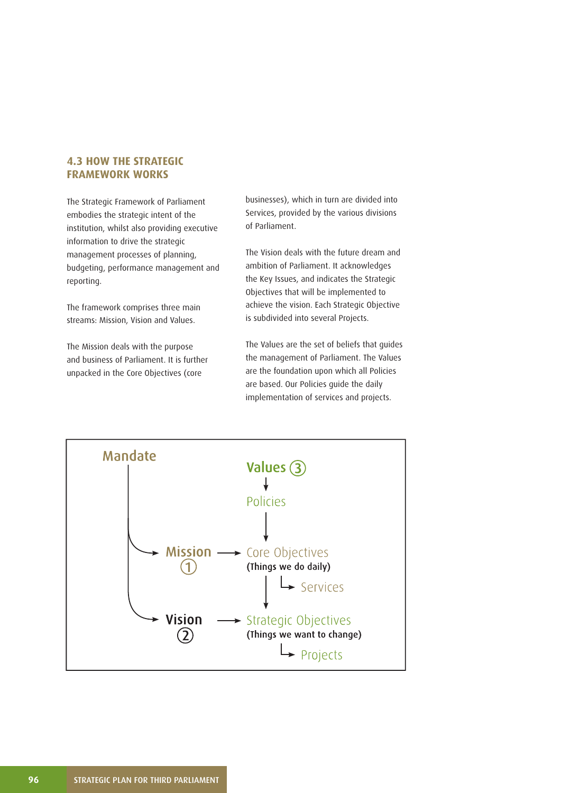## **4.3 HOW THE STRATEGIC FRAMEWORK WORKS**

The Strategic Framework of Parliament embodies the strategic intent of the institution, whilst also providing executive information to drive the strategic management processes of planning, budgeting, performance management and reporting.

The framework comprises three main streams: Mission, Vision and Values.

The Mission deals with the purpose and business of Parliament. It is further unpacked in the Core Objectives (core

businesses), which in turn are divided into Services, provided by the various divisions of Parliament.

The Vision deals with the future dream and ambition of Parliament. It acknowledges the Key Issues, and indicates the Strategic Objectives that will be implemented to achieve the vision. Each Strategic Objective is subdivided into several Projects.

The Values are the set of beliefs that guides the management of Parliament. The Values are the foundation upon which all Policies are based. Our Policies guide the daily implementation of services and projects.

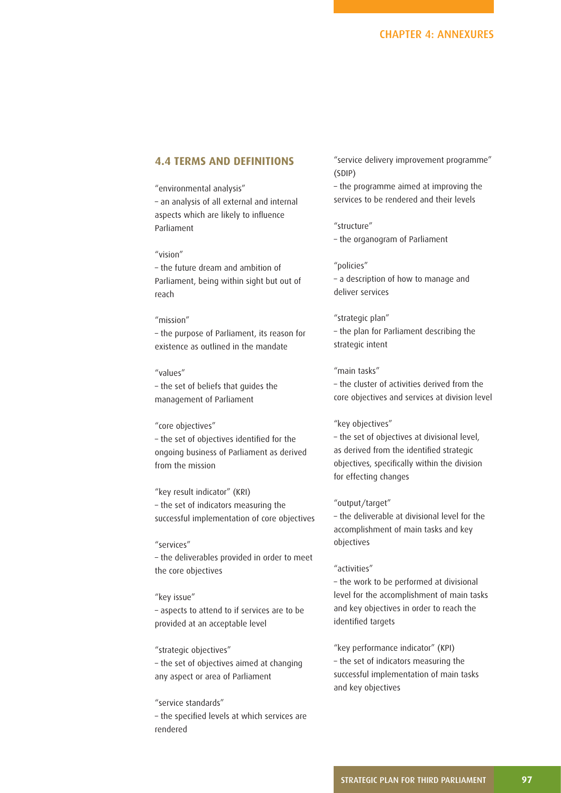## **4.4 TERMS AND DEFINITIONS**

"environmental analysis" – an analysis of all external and internal aspects which are likely to influence Parliament

#### "vision"

– the future dream and ambition of Parliament, being within sight but out of reach

#### "mission"

– the purpose of Parliament, its reason for existence as outlined in the mandate

#### "values"

– the set of beliefs that guides the management of Parliament

#### "core objectives"

- the set of objectives identified for the ongoing business of Parliament as derived from the mission

"key result indicator" (KRI) – the set of indicators measuring the successful implementation of core objectives

#### "services"

– the deliverables provided in order to meet the core objectives

#### "key issue"

– aspects to attend to if services are to be provided at an acceptable level

#### "strategic objectives"

– the set of objectives aimed at changing any aspect or area of Parliament

#### "service standards"

- the specified levels at which services are rendered

"service delivery improvement programme" (SDIP)

– the programme aimed at improving the services to be rendered and their levels

"structure" – the organogram of Parliament

"policies"

– a description of how to manage and deliver services

#### "strategic plan"

– the plan for Parliament describing the strategic intent

#### "main tasks"

– the cluster of activities derived from the core objectives and services at division level

#### "key objectives"

– the set of objectives at divisional level, as derived from the identified strategic objectives, specifically within the division for effecting changes

#### "output/target"

– the deliverable at divisional level for the accomplishment of main tasks and key objectives

#### "activities"

– the work to be performed at divisional level for the accomplishment of main tasks and key objectives in order to reach the identified targets

"key performance indicator" (KPI) – the set of indicators measuring the successful implementation of main tasks and key objectives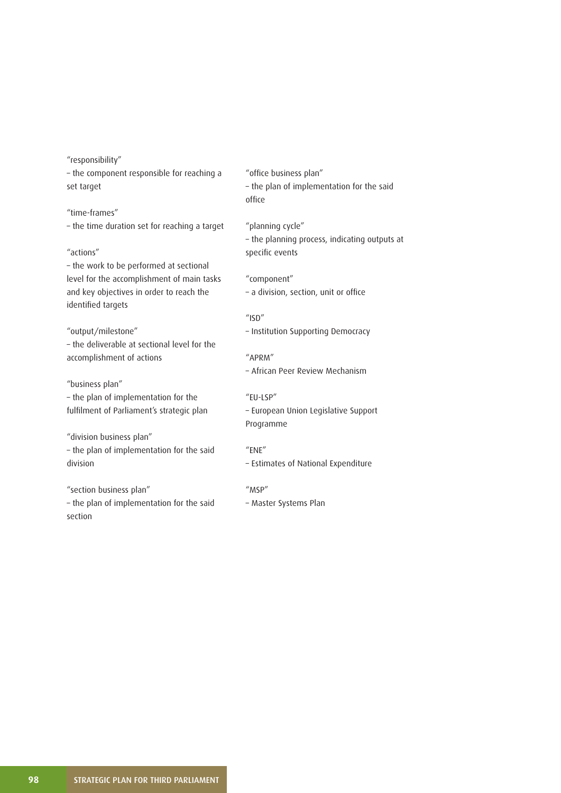"responsibility"

– the component responsible for reaching a set target

"time-frames" – the time duration set for reaching a target

"actions"

– the work to be performed at sectional level for the accomplishment of main tasks and key objectives in order to reach the identified targets

"output/milestone" – the deliverable at sectional level for the accomplishment of actions

"business plan" – the plan of implementation for the fulfilment of Parliament's strategic plan

"division business plan" – the plan of implementation for the said division

"section business plan" – the plan of implementation for the said section

"office business plan" – the plan of implementation for the said office

"planning cycle" – the planning process, indicating outputs at specific events

"component" - a division, section, unit or office

- $''$ ISD"
- Institution Supporting Democracy

"APRM" – African Peer Review Mechanism

"EU-LSP" – European Union Legislative Support Programme

"ENE"

– Estimates of National Expenditure

"MSP" – Master Systems Plan